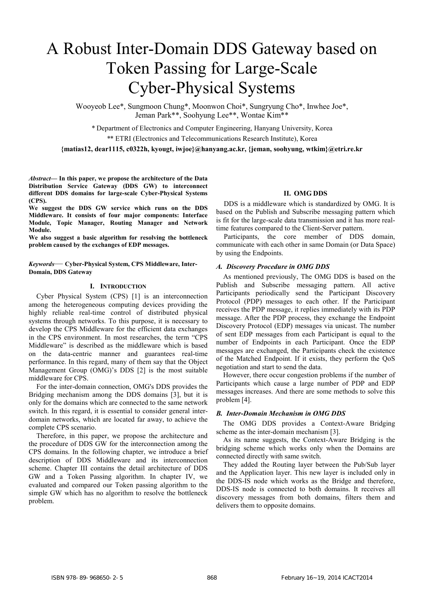# A Robust Inter-Domain DDS Gateway based on Token Passing for Large-Scale Cyber-Physical Systems

Wooyeob Lee\*, Sungmoon Chung\*, Moonwon Choi\*, Sungryung Cho\*, Inwhee Joe\*, Jeman Park\*\*, Soohyung Lee\*\*, Wontae Kim\*\*

*\** Department of Electronics and Computer Engineering, Hanyang University, Korea

*\**\* ETRI (Electronics and Telecommunications Research Institute), Korea

**{matias12, dear1115, c0322h, kyougt, iwjoe}@hanyang.ac.kr, {jeman, soohyung, wtkim}@etri.re.kr** 

*Abstract***— In this paper, we propose the architecture of the Data Distribution Service Gateway (DDS GW) to interconnect different DDS domains for large-scale Cyber-Physical Systems (CPS).** 

**We suggest the DDS GW service which runs on the DDS Middleware. It consists of four major components: Interface Module, Topic Manager, Routing Manager and Network Module.** 

**We also suggest a basic algorithm for resolving the bottleneck problem caused by the exchanges of EDP messages.** 

*Keywords*— **Cyber-Physical System, CPS Middleware, Inter-Domain, DDS Gateway**

### **I. INTRODUCTION**

Cyber Physical System (CPS) [1] is an interconnection among the heterogeneous computing devices providing the highly reliable real-time control of distributed physical systems through networks. To this purpose, it is necessary to develop the CPS Middleware for the efficient data exchanges in the CPS environment. In most researches, the term "CPS Middleware" is described as the middleware which is based on the data-centric manner and guarantees real-time performance. In this regard, many of them say that the Object Management Group (OMG)'s DDS [2] is the most suitable middleware for CPS.

For the inter-domain connection, OMG's DDS provides the Bridging mechanism among the DDS domains [3], but it is only for the domains which are connected to the same network switch. In this regard, it is essential to consider general interdomain networks, which are located far away, to achieve the complete CPS scenario.

Therefore, in this paper, we propose the architecture and the procedure of DDS GW for the interconnection among the CPS domains. In the following chapter, we introduce a brief description of DDS Middleware and its interconnection scheme. Chapter III contains the detail architecture of DDS GW and a Token Passing algorithm. In chapter IV, we evaluated and compared our Token passing algorithm to the simple GW which has no algorithm to resolve the bottleneck problem.

#### **II. OMG DDS**

DDS is a middleware which is standardized by OMG. It is based on the Publish and Subscribe messaging pattern which is fit for the large-scale data transmission and it has more realtime features compared to the Client-Server pattern.

Participants, the core member of DDS domain, communicate with each other in same Domain (or Data Space) by using the Endpoints.

#### *A. Discovery Procedure in OMG DDS*

As mentioned previously, The OMG DDS is based on the Publish and Subscribe messaging pattern. All active Participants periodically send the Participant Discovery Protocol (PDP) messages to each other. If the Participant receives the PDP message, it replies immediately with its PDP message. After the PDP process, they exchange the Endpoint Discovery Protocol (EDP) messages via unicast. The number of sent EDP messages from each Participant is equal to the number of Endpoints in each Participant. Once the EDP messages are exchanged, the Participants check the existence of the Matched Endpoint. If it exists, they perform the QoS negotiation and start to send the data.

However, there occur congestion problems if the number of Participants which cause a large number of PDP and EDP messages increases. And there are some methods to solve this problem [4].

#### *B. Inter-Domain Mechanism in OMG DDS*

The OMG DDS provides a Context-Aware Bridging scheme as the inter-domain mechanism [3].

As its name suggests, the Context-Aware Bridging is the bridging scheme which works only when the Domains are connected directly with same switch.

They added the Routing layer between the Pub/Sub layer and the Application layer. This new layer is included only in the DDS-IS node which works as the Bridge and therefore, DDS-IS node is connected to both domains. It receives all discovery messages from both domains, filters them and delivers them to opposite domains.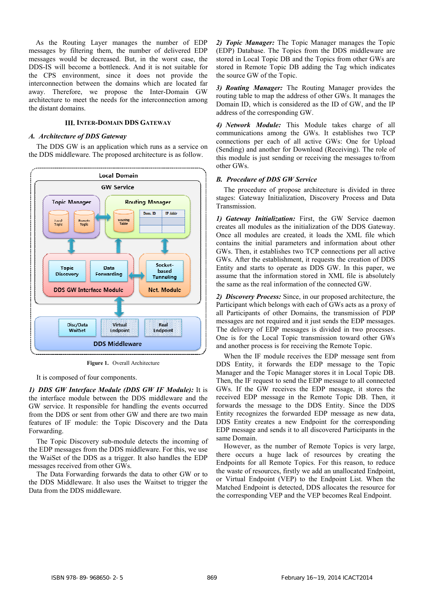As the Routing Layer manages the number of EDP messages by filtering them, the number of delivered EDP messages would be decreased. But, in the worst case, the DDS-IS will become a bottleneck. And it is not suitable for the CPS environment, since it does not provide the interconnection between the domains which are located far away. Therefore, we propose the Inter-Domain GW architecture to meet the needs for the interconnection among the distant domains.

# **III. INTER-DOMAIN DDS GATEWAY**

# *A. Architecture of DDS Gateway*

The DDS GW is an application which runs as a service on the DDS middleware. The proposed architecture is as follow.



**Figure 1.** Overall Architecture

It is composed of four components.

*1) DDS GW Interface Module (DDS GW IF Module):* It is the interface module between the DDS middleware and the GW service. It responsible for handling the events occurred from the DDS or sent from other GW and there are two main features of IF module: the Topic Discovery and the Data Forwarding.

The Topic Discovery sub-module detects the incoming of the EDP messages from the DDS middleware. For this, we use the WaiSet of the DDS as a trigger. It also handles the EDP messages received from other GWs.

The Data Forwarding forwards the data to other GW or to the DDS Middleware. It also uses the Waitset to trigger the Data from the DDS middleware.

*2) Topic Manager:* The Topic Manager manages the Topic (EDP) Database. The Topics from the DDS middleware are stored in Local Topic DB and the Topics from other GWs are stored in Remote Topic DB adding the Tag which indicates the source GW of the Topic.

*3) Routing Manager:* The Routing Manager provides the routing table to map the address of other GWs. It manages the Domain ID, which is considered as the ID of GW, and the IP address of the corresponding GW.

*4) Network Module:* This Module takes charge of all communications among the GWs. It establishes two TCP connections per each of all active GWs: One for Upload (Sending) and another for Download (Receiving). The role of this module is just sending or receiving the messages to/from other GWs.

#### *B. Procedure of DDS GW Service*

The procedure of propose architecture is divided in three stages: Gateway Initialization, Discovery Process and Data Transmission.

*1) Gateway Initialization:* First, the GW Service daemon creates all modules as the initialization of the DDS Gateway. Once all modules are created, it loads the XML file which contains the initial parameters and information about other GWs. Then, it establishes two TCP connections per all active GWs. After the establishment, it requests the creation of DDS Entity and starts to operate as DDS GW. In this paper, we assume that the information stored in XML file is absolutely the same as the real information of the connected GW.

*2) Discovery Process:* Since, in our proposed architecture, the Participant which belongs with each of GWs acts as a proxy of all Participants of other Domains, the transmission of PDP messages are not required and it just sends the EDP messages. The delivery of EDP messages is divided in two processes. One is for the Local Topic transmission toward other GWs and another process is for receiving the Remote Topic.

When the IF module receives the EDP message sent from DDS Entity, it forwards the EDP message to the Topic Manager and the Topic Manager stores it in Local Topic DB. Then, the IF request to send the EDP message to all connected GWs. If the GW receives the EDP message, it stores the received EDP message in the Remote Topic DB. Then, it forwards the message to the DDS Entity. Since the DDS Entity recognizes the forwarded EDP message as new data, DDS Entity creates a new Endpoint for the corresponding EDP message and sends it to all discovered Participants in the same Domain.

However, as the number of Remote Topics is very large, there occurs a huge lack of resources by creating the Endpoints for all Remote Topics. For this reason, to reduce the waste of resources, firstly we add an unallocated Endpoint, or Virtual Endpoint (VEP) to the Endpoint List. When the Matched Endpoint is detected, DDS allocates the resource for the corresponding VEP and the VEP becomes Real Endpoint.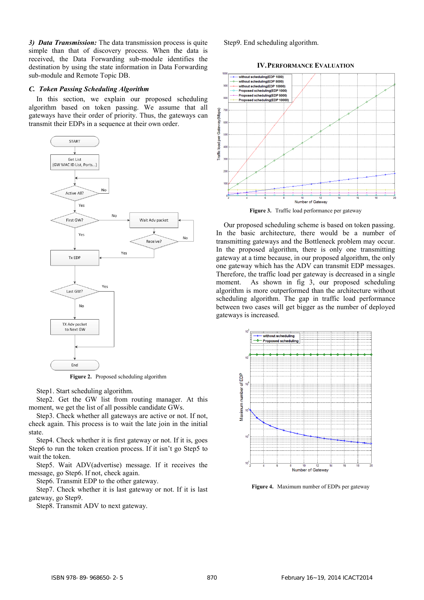*3) Data Transmission:* The data transmission process is quite simple than that of discovery process. When the data is received, the Data Forwarding sub-module identifies the destination by using the state information in Data Forwarding sub-module and Remote Topic DB.

#### *C. Token Passing Scheduling Algorithm*

In this section, we explain our proposed scheduling algorithm based on token passing. We assume that all gateways have their order of priority. Thus, the gateways can transmit their EDPs in a sequence at their own order.



**Figure 2.** Proposed scheduling algorithm

Step1. Start scheduling algorithm.

Step2. Get the GW list from routing manager. At this moment, we get the list of all possible candidate GWs.

Step3. Check whether all gateways are active or not. If not, check again. This process is to wait the late join in the initial state.

Step4. Check whether it is first gateway or not. If it is, goes Step6 to run the token creation process. If it isn't go Step5 to wait the token.

Step5. Wait ADV(advertise) message. If it receives the message, go Step6. If not, check again.

Step6. Transmit EDP to the other gateway.

Step7. Check whether it is last gateway or not. If it is last gateway, go Step9.

Step8. Transmit ADV to next gateway.

Step9. End scheduling algorithm.

#### **IV.PERFORMANCE EVALUATION**



**Figure 3.** Traffic load performance per gateway

Our proposed scheduling scheme is based on token passing. In the basic architecture, there would be a number of transmitting gateways and the Bottleneck problem may occur. In the proposed algorithm, there is only one transmitting gateway at a time because, in our proposed algorithm, the only one gateway which has the ADV can transmit EDP messages. Therefore, the traffic load per gateway is decreased in a single moment. As shown in fig 3, our proposed scheduling algorithm is more outperformed than the architecture without scheduling algorithm. The gap in traffic load performance between two cases will get bigger as the number of deployed gateways is increased.



**Figure 4.** Maximum number of EDPs per gateway